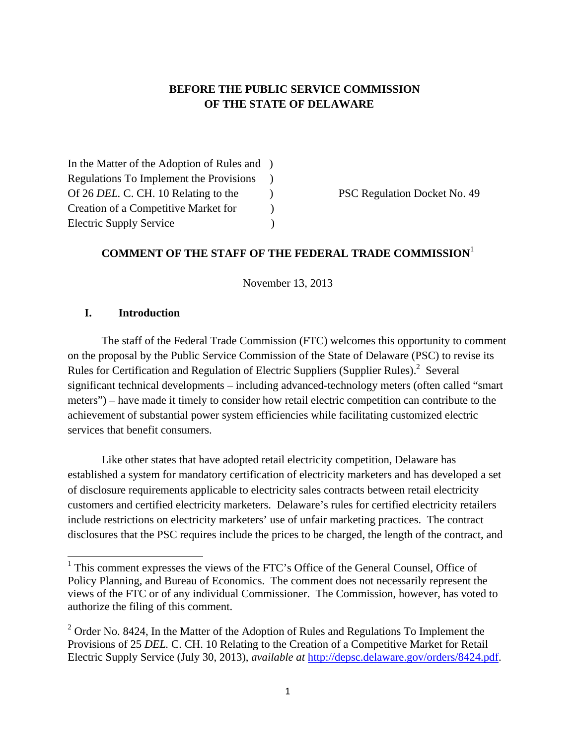### **BEFORE THE PUBLIC SERVICE COMMISSION OF THE STATE OF DELAWARE**

In the Matter of the Adoption of Rules and ) Regulations To Implement the Provisions ) Of 26 *DEL*. C. CH. 10 Relating to the PSC Regulation Docket No. 49 Creation of a Competitive Market for  $\qquad \qquad$  ) Electric Supply Service )

## **COMMENT OF THE STAFF OF THE FEDERAL TRADE COMMISSION**<sup>1</sup>

November 13, 2013

#### **I. Introduction**

The staff of the Federal Trade Commission (FTC) welcomes this opportunity to comment on the proposal by the Public Service Commission of the State of Delaware (PSC) to revise its Rules for Certification and Regulation of Electric Suppliers (Supplier Rules).<sup>2</sup> Several significant technical developments – including advanced-technology meters (often called "smart meters") – have made it timely to consider how retail electric competition can contribute to the achievement of substantial power system efficiencies while facilitating customized electric services that benefit consumers.

Like other states that have adopted retail electricity competition, Delaware has established a system for mandatory certification of electricity marketers and has developed a set of disclosure requirements applicable to electricity sales contracts between retail electricity customers and certified electricity marketers. Delaware's rules for certified electricity retailers include restrictions on electricity marketers' use of unfair marketing practices. The contract disclosures that the PSC requires include the prices to be charged, the length of the contract, and

<sup>&</sup>lt;sup>1</sup> This comment expresses the views of the FTC's Office of the General Counsel, Office of Policy Planning, and Bureau of Economics. The comment does not necessarily represent the views of the FTC or of any individual Commissioner. The Commission, however, has voted to authorize the filing of this comment.

 $2^2$  Order No. 8424, In the Matter of the Adoption of Rules and Regulations To Implement the Provisions of 25 *DEL.* C. CH. 10 Relating to the Creation of a Competitive Market for Retail Electric Supply Service (July 30, 2013), *available at* http://depsc.delaware.gov/orders/8424.pdf.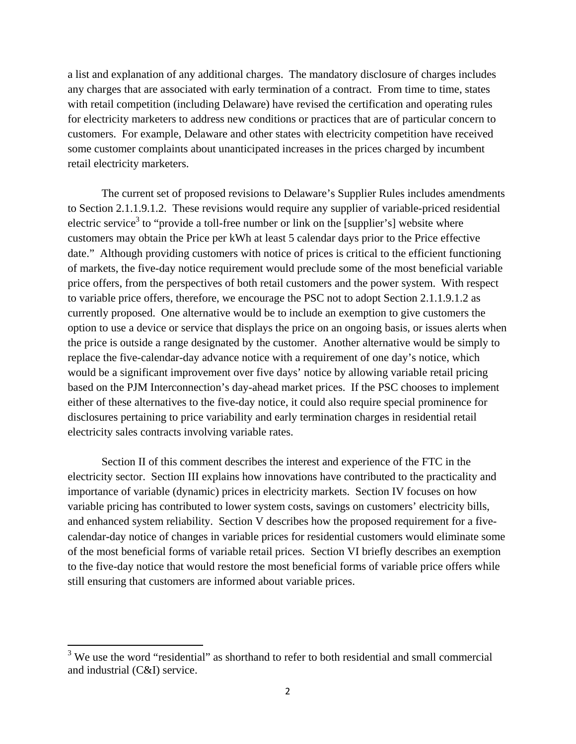a list and explanation of any additional charges. The mandatory disclosure of charges includes any charges that are associated with early termination of a contract. From time to time, states with retail competition (including Delaware) have revised the certification and operating rules for electricity marketers to address new conditions or practices that are of particular concern to customers. For example, Delaware and other states with electricity competition have received some customer complaints about unanticipated increases in the prices charged by incumbent retail electricity marketers.

The current set of proposed revisions to Delaware's Supplier Rules includes amendments to Section 2.1.1.9.1.2. These revisions would require any supplier of variable-priced residential electric service<sup>3</sup> to "provide a toll-free number or link on the [supplier's] website where customers may obtain the Price per kWh at least 5 calendar days prior to the Price effective date."Although providing customers with notice of prices is critical to the efficient functioning of markets, the five-day notice requirement would preclude some of the most beneficial variable price offers, from the perspectives of both retail customers and the power system. With respect to variable price offers, therefore, we encourage the PSC not to adopt Section 2.1.1.9.1.2 as currently proposed. One alternative would be to include an exemption to give customers the option to use a device or service that displays the price on an ongoing basis, or issues alerts when the price is outside a range designated by the customer. Another alternative would be simply to replace the five-calendar-day advance notice with a requirement of one day's notice, which would be a significant improvement over five days' notice by allowing variable retail pricing based on the PJM Interconnection's day-ahead market prices. If the PSC chooses to implement either of these alternatives to the five-day notice, it could also require special prominence for disclosures pertaining to price variability and early termination charges in residential retail electricity sales contracts involving variable rates.

Section II of this comment describes the interest and experience of the FTC in the electricity sector. Section III explains how innovations have contributed to the practicality and importance of variable (dynamic) prices in electricity markets. Section IV focuses on how variable pricing has contributed to lower system costs, savings on customers' electricity bills, and enhanced system reliability. Section V describes how the proposed requirement for a fivecalendar-day notice of changes in variable prices for residential customers would eliminate some of the most beneficial forms of variable retail prices. Section VI briefly describes an exemption to the five-day notice that would restore the most beneficial forms of variable price offers while still ensuring that customers are informed about variable prices.

 $3$  We use the word "residential" as shorthand to refer to both residential and small commercial and industrial (C&I) service.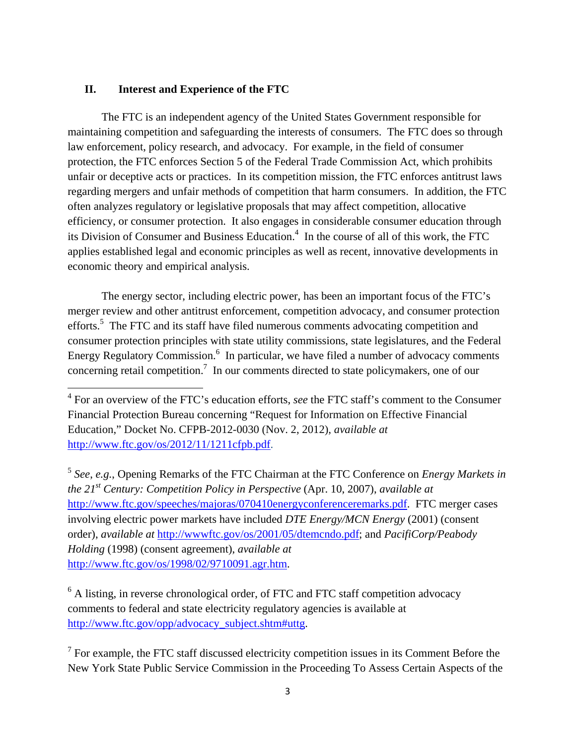#### **II. Interest and Experience of the FTC**

The FTC is an independent agency of the United States Government responsible for maintaining competition and safeguarding the interests of consumers. The FTC does so through law enforcement, policy research, and advocacy. For example, in the field of consumer protection, the FTC enforces Section 5 of the Federal Trade Commission Act, which prohibits unfair or deceptive acts or practices. In its competition mission, the FTC enforces antitrust laws regarding mergers and unfair methods of competition that harm consumers. In addition, the FTC often analyzes regulatory or legislative proposals that may affect competition, allocative efficiency, or consumer protection. It also engages in considerable consumer education through its Division of Consumer and Business Education.<sup>4</sup> In the course of all of this work, the FTC applies established legal and economic principles as well as recent, innovative developments in economic theory and empirical analysis.

The energy sector, including electric power, has been an important focus of the FTC's merger review and other antitrust enforcement, competition advocacy, and consumer protection efforts.<sup>5</sup> The FTC and its staff have filed numerous comments advocating competition and consumer protection principles with state utility commissions, state legislatures, and the Federal Energy Regulatory Commission.<sup>6</sup> In particular, we have filed a number of advocacy comments concerning retail competition.<sup>7</sup> In our comments directed to state policymakers, one of our

<sup>5</sup> *See*, *e.g.*, Opening Remarks of the FTC Chairman at the FTC Conference on *Energy Markets in the 21st Century: Competition Policy in Perspective* (Apr. 10, 2007), *available at* http://www.ftc.gov/speeches/majoras/070410energyconferenceremarks.pdf. FTC merger cases involving electric power markets have included *DTE Energy/MCN Energy* (2001) (consent order), *available at* http://wwwftc.gov/os/2001/05/dtemcndo.pdf; and *PacifiCorp/Peabody Holding* (1998) (consent agreement), *available at* http://www.ftc.gov/os/1998/02/9710091.agr.htm.

 $6$  A listing, in reverse chronological order, of FTC and FTC staff competition advocacy comments to federal and state electricity regulatory agencies is available at http://www.ftc.gov/opp/advocacy\_subject.shtm#uttg.

 $7$  For example, the FTC staff discussed electricity competition issues in its Comment Before the New York State Public Service Commission in the Proceeding To Assess Certain Aspects of the

 4 For an overview of the FTC's education efforts, *see* the FTC staff's comment to the Consumer Financial Protection Bureau concerning "Request for Information on Effective Financial Education," Docket No. CFPB-2012-0030 (Nov. 2, 2012), *available at*  http://www.ftc.gov/os/2012/11/1211cfpb.pdf.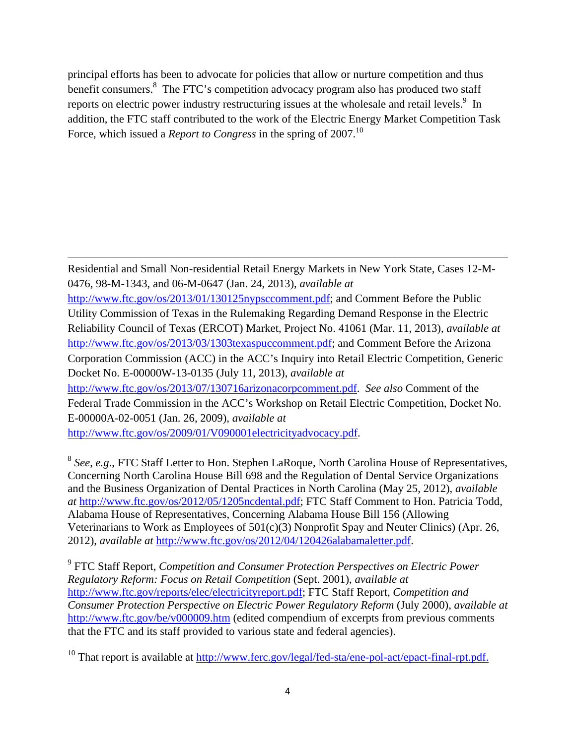principal efforts has been to advocate for policies that allow or nurture competition and thus benefit consumers. $8\text{ }$  The FTC's competition advocacy program also has produced two staff reports on electric power industry restructuring issues at the wholesale and retail levels.<sup>9</sup> In addition, the FTC staff contributed to the work of the Electric Energy Market Competition Task Force, which issued a *Report to Congress* in the spring of 2007.<sup>10</sup>

Residential and Small Non-residential Retail Energy Markets in New York State, Cases 12-M-0476, 98-M-1343, and 06-M-0647 (Jan. 24, 2013), *available at* http://www.ftc.gov/os/2013/01/130125nypsccomment.pdf; and Comment Before the Public Utility Commission of Texas in the Rulemaking Regarding Demand Response in the Electric Reliability Council of Texas (ERCOT) Market, Project No. 41061 (Mar. 11, 2013), *available at* http://www.ftc.gov/os/2013/03/1303texaspuccomment.pdf; and Comment Before the Arizona Corporation Commission (ACC) in the ACC's Inquiry into Retail Electric Competition, Generic Docket No. E-00000W-13-0135 (July 11, 2013), *available at* http://www.ftc.gov/os/2013/07/130716arizonacorpcomment.pdf. *See also* Comment of the Federal Trade Commission in the ACC's Workshop on Retail Electric Competition, Docket No. E-00000A-02-0051 (Jan. 26, 2009), *available at* http://www.ftc.gov/os/2009/01/V090001electricityadvocacy.pdf.

<u> 1989 - Johann Stein, marwolaethau a gweledydd a ganlad y ganlad y ganlad y ganlad y ganlad y ganlad y ganlad</u>

<sup>8</sup> *See*, *e.g*., FTC Staff Letter to Hon. Stephen LaRoque, North Carolina House of Representatives, Concerning North Carolina House Bill 698 and the Regulation of Dental Service Organizations and the Business Organization of Dental Practices in North Carolina (May 25, 2012), *available at* http://www.ftc.gov/os/2012/05/1205ncdental.pdf; FTC Staff Comment to Hon. Patricia Todd, Alabama House of Representatives, Concerning Alabama House Bill 156 (Allowing Veterinarians to Work as Employees of 501(c)(3) Nonprofit Spay and Neuter Clinics) (Apr. 26, 2012), *available at* http://www.ftc.gov/os/2012/04/120426alabamaletter.pdf.

9 FTC Staff Report, *Competition and Consumer Protection Perspectives on Electric Power Regulatory Reform: Focus on Retail Competition* (Sept. 2001), *available at* http://www.ftc.gov/reports/elec/electricityreport.pdf; FTC Staff Report, *Competition and Consumer Protection Perspective on Electric Power Regulatory Reform* (July 2000), *available at* http://www.ftc.gov/be/v000009.htm (edited compendium of excerpts from previous comments that the FTC and its staff provided to various state and federal agencies).

<sup>10</sup> That report is available at http://www.ferc.gov/legal/fed-sta/ene-pol-act/epact-final-rpt.pdf.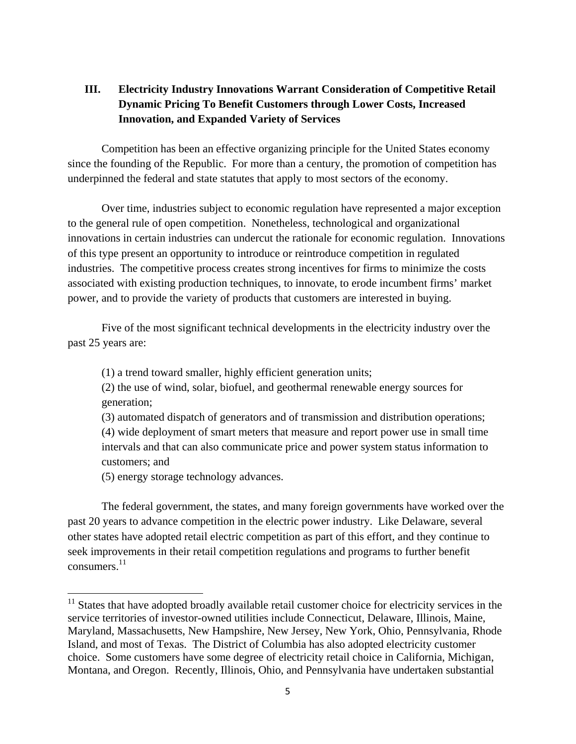## **III. Electricity Industry Innovations Warrant Consideration of Competitive Retail Dynamic Pricing To Benefit Customers through Lower Costs, Increased Innovation, and Expanded Variety of Services**

Competition has been an effective organizing principle for the United States economy since the founding of the Republic. For more than a century, the promotion of competition has underpinned the federal and state statutes that apply to most sectors of the economy.

Over time, industries subject to economic regulation have represented a major exception to the general rule of open competition. Nonetheless, technological and organizational innovations in certain industries can undercut the rationale for economic regulation. Innovations of this type present an opportunity to introduce or reintroduce competition in regulated industries. The competitive process creates strong incentives for firms to minimize the costs associated with existing production techniques, to innovate, to erode incumbent firms' market power, and to provide the variety of products that customers are interested in buying.

Five of the most significant technical developments in the electricity industry over the past 25 years are:

(1) a trend toward smaller, highly efficient generation units;

(2) the use of wind, solar, biofuel, and geothermal renewable energy sources for generation;

(3) automated dispatch of generators and of transmission and distribution operations; (4) wide deployment of smart meters that measure and report power use in small time intervals and that can also communicate price and power system status information to customers; and

(5) energy storage technology advances.

The federal government, the states, and many foreign governments have worked over the past 20 years to advance competition in the electric power industry. Like Delaware, several other states have adopted retail electric competition as part of this effort, and they continue to seek improvements in their retail competition regulations and programs to further benefit consumers. 11

 $11$  States that have adopted broadly available retail customer choice for electricity services in the service territories of investor-owned utilities include Connecticut, Delaware, Illinois, Maine, Maryland, Massachusetts, New Hampshire, New Jersey, New York, Ohio, Pennsylvania, Rhode Island, and most of Texas. The District of Columbia has also adopted electricity customer choice. Some customers have some degree of electricity retail choice in California, Michigan, Montana, and Oregon. Recently, Illinois, Ohio, and Pennsylvania have undertaken substantial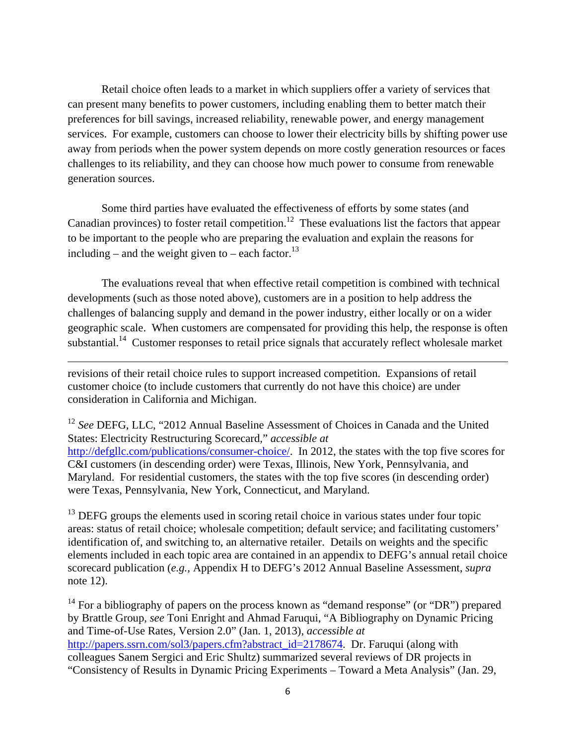Retail choice often leads to a market in which suppliers offer a variety of services that can present many benefits to power customers, including enabling them to better match their preferences for bill savings, increased reliability, renewable power, and energy management services. For example, customers can choose to lower their electricity bills by shifting power use away from periods when the power system depends on more costly generation resources or faces challenges to its reliability, and they can choose how much power to consume from renewable generation sources.

Some third parties have evaluated the effectiveness of efforts by some states (and Canadian provinces) to foster retail competition.<sup>12</sup> These evaluations list the factors that appear to be important to the people who are preparing the evaluation and explain the reasons for including – and the weight given to – each factor.<sup>13</sup>

The evaluations reveal that when effective retail competition is combined with technical developments (such as those noted above), customers are in a position to help address the challenges of balancing supply and demand in the power industry, either locally or on a wider geographic scale. When customers are compensated for providing this help, the response is often substantial.<sup>14</sup> Customer responses to retail price signals that accurately reflect wholesale market

<u> 1989 - Johann Stein, marwolaethau a gweledydd a ganlad y ganlad y ganlad y ganlad y ganlad y ganlad y ganlad</u>

revisions of their retail choice rules to support increased competition. Expansions of retail customer choice (to include customers that currently do not have this choice) are under consideration in California and Michigan.

<sup>12</sup> See DEFG, LLC, "2012 Annual Baseline Assessment of Choices in Canada and the United States: Electricity Restructuring Scorecard," *accessible at* http://defgllc.com/publications/consumer-choice/. In 2012, the states with the top five scores for C&I customers (in descending order) were Texas, Illinois, New York, Pennsylvania, and Maryland. For residential customers, the states with the top five scores (in descending order) were Texas, Pennsylvania, New York, Connecticut, and Maryland.

 $13$  DEFG groups the elements used in scoring retail choice in various states under four topic areas: status of retail choice; wholesale competition; default service; and facilitating customers' identification of, and switching to, an alternative retailer. Details on weights and the specific elements included in each topic area are contained in an appendix to DEFG's annual retail choice scorecard publication (*e.g.*, Appendix H to DEFG's 2012 Annual Baseline Assessment, *supra* note 12).

 $14$  For a bibliography of papers on the process known as "demand response" (or "DR") prepared by Brattle Group, *see* Toni Enright and Ahmad Faruqui, "A Bibliography on Dynamic Pricing and Time-of-Use Rates, Version 2.0" (Jan. 1, 2013), *accessible at* http://papers.ssrn.com/sol3/papers.cfm?abstract\_id=2178674. Dr. Faruqui (along with colleagues Sanem Sergici and Eric Shultz) summarized several reviews of DR projects in "Consistency of Results in Dynamic Pricing Experiments – Toward a Meta Analysis" (Jan. 29,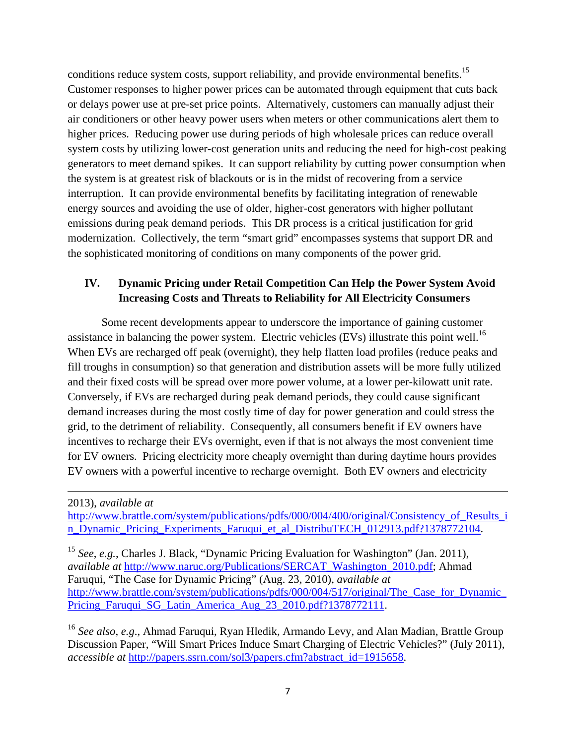conditions reduce system costs, support reliability, and provide environmental benefits.<sup>15</sup> Customer responses to higher power prices can be automated through equipment that cuts back or delays power use at pre-set price points. Alternatively, customers can manually adjust their air conditioners or other heavy power users when meters or other communications alert them to higher prices. Reducing power use during periods of high wholesale prices can reduce overall system costs by utilizing lower-cost generation units and reducing the need for high-cost peaking generators to meet demand spikes. It can support reliability by cutting power consumption when the system is at greatest risk of blackouts or is in the midst of recovering from a service interruption. It can provide environmental benefits by facilitating integration of renewable energy sources and avoiding the use of older, higher-cost generators with higher pollutant emissions during peak demand periods. This DR process is a critical justification for grid modernization. Collectively, the term "smart grid" encompasses systems that support DR and the sophisticated monitoring of conditions on many components of the power grid.

### **IV. Dynamic Pricing under Retail Competition Can Help the Power System Avoid Increasing Costs and Threats to Reliability for All Electricity Consumers**

Some recent developments appear to underscore the importance of gaining customer assistance in balancing the power system. Electric vehicles (EVs) illustrate this point well.<sup>16</sup> When EVs are recharged off peak (overnight), they help flatten load profiles (reduce peaks and fill troughs in consumption) so that generation and distribution assets will be more fully utilized and their fixed costs will be spread over more power volume, at a lower per-kilowatt unit rate. Conversely, if EVs are recharged during peak demand periods, they could cause significant demand increases during the most costly time of day for power generation and could stress the grid, to the detriment of reliability. Consequently, all consumers benefit if EV owners have incentives to recharge their EVs overnight, even if that is not always the most convenient time for EV owners. Pricing electricity more cheaply overnight than during daytime hours provides EV owners with a powerful incentive to recharge overnight. Both EV owners and electricity

2013), *available at*

http://www.brattle.com/system/publications/pdfs/000/004/400/original/Consistency\_of\_Results\_i n Dynamic Pricing Experiments Faruqui et al DistribuTECH 012913.pdf?1378772104.

<u> 1989 - Johann Stein, marwolaethau a gweledydd a ganlad y ganlad y ganlad y ganlad y ganlad y ganlad y ganlad</u>

<sup>15</sup> *See*, *e.g.*, Charles J. Black, "Dynamic Pricing Evaluation for Washington" (Jan. 2011), *available at* http://www.naruc.org/Publications/SERCAT\_Washington\_2010.pdf; Ahmad Faruqui, "The Case for Dynamic Pricing" (Aug. 23, 2010), *available at* http://www.brattle.com/system/publications/pdfs/000/004/517/original/The\_Case\_for\_Dynamic\_ Pricing\_Faruqui\_SG\_Latin\_America\_Aug\_23\_2010.pdf?1378772111.

<sup>16</sup> *See also*, *e.g*., Ahmad Faruqui, Ryan Hledik, Armando Levy, and Alan Madian, Brattle Group Discussion Paper, "Will Smart Prices Induce Smart Charging of Electric Vehicles?" (July 2011), *accessible at* http://papers.ssrn.com/sol3/papers.cfm?abstract\_id=1915658.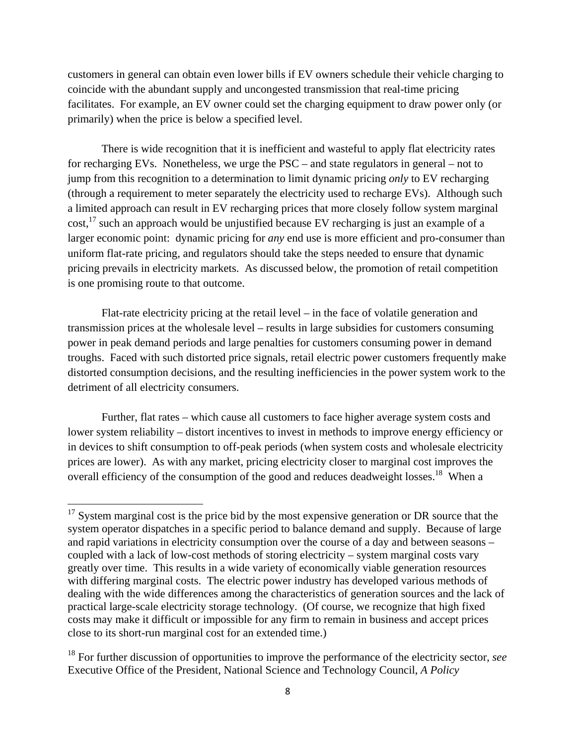customers in general can obtain even lower bills if EV owners schedule their vehicle charging to coincide with the abundant supply and uncongested transmission that real-time pricing facilitates. For example, an EV owner could set the charging equipment to draw power only (or primarily) when the price is below a specified level.

There is wide recognition that it is inefficient and wasteful to apply flat electricity rates for recharging EVs. Nonetheless, we urge the PSC – and state regulators in general – not to jump from this recognition to a determination to limit dynamic pricing *only* to EV recharging (through a requirement to meter separately the electricity used to recharge EVs). Although such a limited approach can result in EV recharging prices that more closely follow system marginal cost,<sup>17</sup> such an approach would be unjustified because EV recharging is just an example of a larger economic point: dynamic pricing for *any* end use is more efficient and pro-consumer than uniform flat-rate pricing, and regulators should take the steps needed to ensure that dynamic pricing prevails in electricity markets. As discussed below, the promotion of retail competition is one promising route to that outcome.

Flat-rate electricity pricing at the retail level – in the face of volatile generation and transmission prices at the wholesale level – results in large subsidies for customers consuming power in peak demand periods and large penalties for customers consuming power in demand troughs. Faced with such distorted price signals, retail electric power customers frequently make distorted consumption decisions, and the resulting inefficiencies in the power system work to the detriment of all electricity consumers.

Further, flat rates – which cause all customers to face higher average system costs and lower system reliability – distort incentives to invest in methods to improve energy efficiency or in devices to shift consumption to off-peak periods (when system costs and wholesale electricity prices are lower). As with any market, pricing electricity closer to marginal cost improves the overall efficiency of the consumption of the good and reduces deadweight losses.<sup>18</sup> When a

 $17$  System marginal cost is the price bid by the most expensive generation or DR source that the system operator dispatches in a specific period to balance demand and supply. Because of large and rapid variations in electricity consumption over the course of a day and between seasons – coupled with a lack of low-cost methods of storing electricity – system marginal costs vary greatly over time. This results in a wide variety of economically viable generation resources with differing marginal costs. The electric power industry has developed various methods of dealing with the wide differences among the characteristics of generation sources and the lack of practical large-scale electricity storage technology. (Of course, we recognize that high fixed costs may make it difficult or impossible for any firm to remain in business and accept prices close to its short-run marginal cost for an extended time.)

<sup>18</sup> For further discussion of opportunities to improve the performance of the electricity sector, *see*  Executive Office of the President, National Science and Technology Council, *A Policy*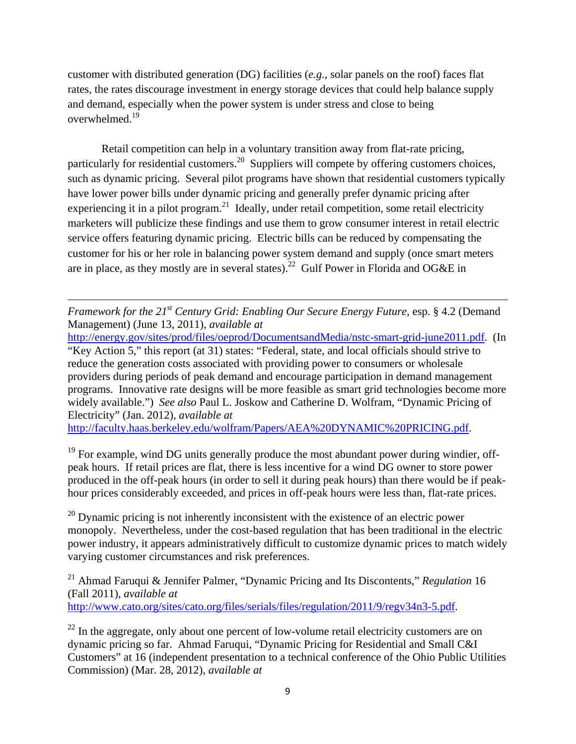customer with distributed generation (DG) facilities (*e.g.*, solar panels on the roof) faces flat rates, the rates discourage investment in energy storage devices that could help balance supply and demand, especially when the power system is under stress and close to being overwhelmed.19

Retail competition can help in a voluntary transition away from flat-rate pricing, particularly for residential customers.<sup>20</sup> Suppliers will compete by offering customers choices, such as dynamic pricing. Several pilot programs have shown that residential customers typically have lower power bills under dynamic pricing and generally prefer dynamic pricing after experiencing it in a pilot program.<sup>21</sup> Ideally, under retail competition, some retail electricity marketers will publicize these findings and use them to grow consumer interest in retail electric service offers featuring dynamic pricing. Electric bills can be reduced by compensating the customer for his or her role in balancing power system demand and supply (once smart meters are in place, as they mostly are in several states).<sup>22</sup> Gulf Power in Florida and OG&E in

*Framework for the 21<sup>st</sup> Century Grid: Enabling Our Secure Energy Future*, esp. § 4.2 (Demand Management) (June 13, 2011), *available at*

<u> 1989 - Johann Stein, marwolaethau a gweledydd a ganlad y ganlad y ganlad y ganlad y ganlad y ganlad y ganlad</u>

http://energy.gov/sites/prod/files/oeprod/DocumentsandMedia/nstc-smart-grid-june2011.pdf. (In "Key Action 5," this report (at 31) states: "Federal, state, and local officials should strive to reduce the generation costs associated with providing power to consumers or wholesale providers during periods of peak demand and encourage participation in demand management programs. Innovative rate designs will be more feasible as smart grid technologies become more widely available.") *See also* Paul L. Joskow and Catherine D. Wolfram, "Dynamic Pricing of Electricity" (Jan. 2012), *available at*

http://faculty.haas.berkeley.edu/wolfram/Papers/AEA%20DYNAMIC%20PRICING.pdf.

 $19$  For example, wind DG units generally produce the most abundant power during windier, offpeak hours. If retail prices are flat, there is less incentive for a wind DG owner to store power produced in the off-peak hours (in order to sell it during peak hours) than there would be if peakhour prices considerably exceeded, and prices in off-peak hours were less than, flat-rate prices.

 $^{20}$  Dynamic pricing is not inherently inconsistent with the existence of an electric power monopoly. Nevertheless, under the cost-based regulation that has been traditional in the electric power industry, it appears administratively difficult to customize dynamic prices to match widely varying customer circumstances and risk preferences.

21 Ahmad Faruqui & Jennifer Palmer, "Dynamic Pricing and Its Discontents," *Regulation* 16 (Fall 2011), *available at* http://www.cato.org/sites/cato.org/files/serials/files/regulation/2011/9/regv34n3-5.pdf.

 $^{22}$  In the aggregate, only about one percent of low-volume retail electricity customers are on dynamic pricing so far. Ahmad Faruqui, "Dynamic Pricing for Residential and Small C&I Customers" at 16 (independent presentation to a technical conference of the Ohio Public Utilities Commission) (Mar. 28, 2012), *available at*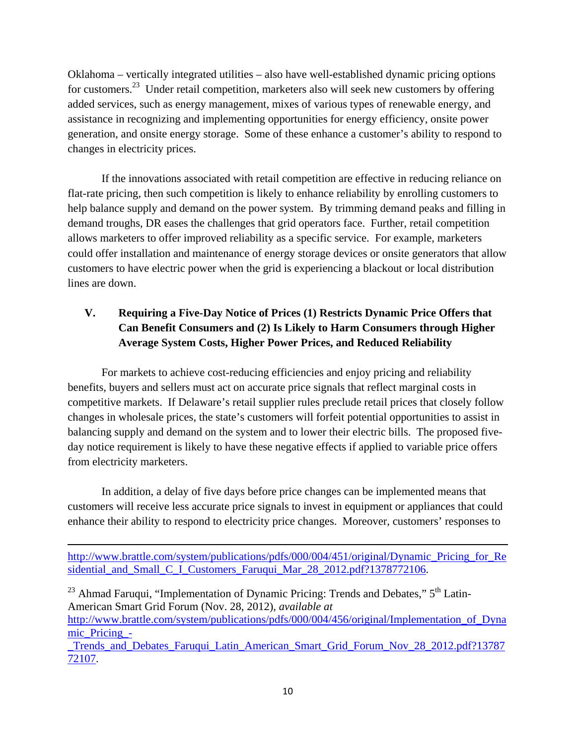Oklahoma – vertically integrated utilities – also have well-established dynamic pricing options for customers.<sup>23</sup> Under retail competition, marketers also will seek new customers by offering added services, such as energy management, mixes of various types of renewable energy, and assistance in recognizing and implementing opportunities for energy efficiency, onsite power generation, and onsite energy storage. Some of these enhance a customer's ability to respond to changes in electricity prices.

If the innovations associated with retail competition are effective in reducing reliance on flat-rate pricing, then such competition is likely to enhance reliability by enrolling customers to help balance supply and demand on the power system. By trimming demand peaks and filling in demand troughs, DR eases the challenges that grid operators face. Further, retail competition allows marketers to offer improved reliability as a specific service. For example, marketers could offer installation and maintenance of energy storage devices or onsite generators that allow customers to have electric power when the grid is experiencing a blackout or local distribution lines are down.

# **V. Requiring a Five-Day Notice of Prices (1) Restricts Dynamic Price Offers that Can Benefit Consumers and (2) Is Likely to Harm Consumers through Higher Average System Costs, Higher Power Prices, and Reduced Reliability**

 For markets to achieve cost-reducing efficiencies and enjoy pricing and reliability benefits, buyers and sellers must act on accurate price signals that reflect marginal costs in competitive markets. If Delaware's retail supplier rules preclude retail prices that closely follow changes in wholesale prices, the state's customers will forfeit potential opportunities to assist in balancing supply and demand on the system and to lower their electric bills. The proposed fiveday notice requirement is likely to have these negative effects if applied to variable price offers from electricity marketers.

In addition, a delay of five days before price changes can be implemented means that customers will receive less accurate price signals to invest in equipment or appliances that could enhance their ability to respond to electricity price changes. Moreover, customers' responses to

<u> 1989 - Johann Stein, marwolaethau a gweledydd a ganlad y ganlad y ganlad y ganlad y ganlad y ganlad y ganlad</u> http://www.brattle.com/system/publications/pdfs/000/004/451/original/Dynamic Pricing for Re sidential\_and\_Small\_C\_I\_Customers\_Faruqui\_Mar\_28\_2012.pdf?1378772106.

<sup>23</sup> Ahmad Faruqui, "Implementation of Dynamic Pricing: Trends and Debates,"  $5<sup>th</sup>$  Latin-American Smart Grid Forum (Nov. 28, 2012), *available at*

http://www.brattle.com/system/publications/pdfs/000/004/456/original/Implementation of Dyna mic\_Pricing\_-

\_Trends\_and\_Debates\_Faruqui\_Latin\_American\_Smart\_Grid\_Forum\_Nov\_28\_2012.pdf?13787 72107.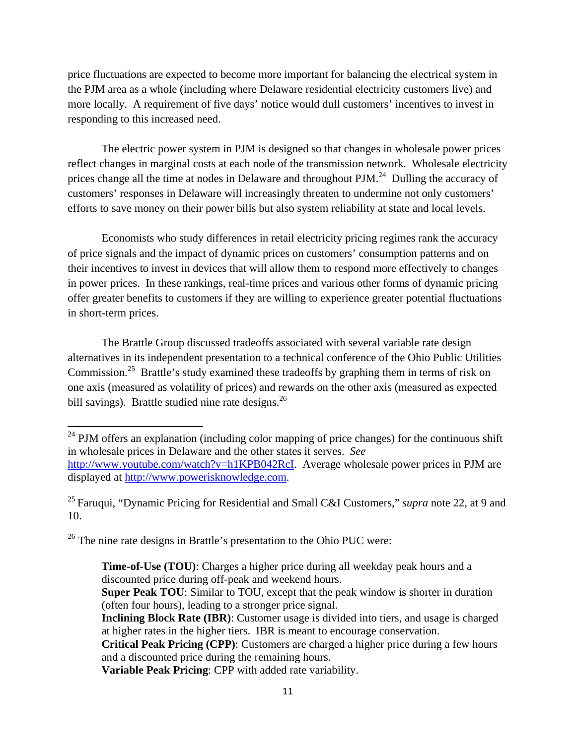price fluctuations are expected to become more important for balancing the electrical system in the PJM area as a whole (including where Delaware residential electricity customers live) and more locally. A requirement of five days' notice would dull customers' incentives to invest in responding to this increased need.

The electric power system in PJM is designed so that changes in wholesale power prices reflect changes in marginal costs at each node of the transmission network. Wholesale electricity prices change all the time at nodes in Delaware and throughout PJM.<sup>24</sup> Dulling the accuracy of customers' responses in Delaware will increasingly threaten to undermine not only customers' efforts to save money on their power bills but also system reliability at state and local levels.

 Economists who study differences in retail electricity pricing regimes rank the accuracy of price signals and the impact of dynamic prices on customers' consumption patterns and on their incentives to invest in devices that will allow them to respond more effectively to changes in power prices. In these rankings, real-time prices and various other forms of dynamic pricing offer greater benefits to customers if they are willing to experience greater potential fluctuations in short-term prices.

 The Brattle Group discussed tradeoffs associated with several variable rate design alternatives in its independent presentation to a technical conference of the Ohio Public Utilities Commission.<sup>25</sup> Brattle's study examined these tradeoffs by graphing them in terms of risk on one axis (measured as volatility of prices) and rewards on the other axis (measured as expected bill savings). Brattle studied nine rate designs. $^{26}$ 

<sup>26</sup> The nine rate designs in Brattle's presentation to the Ohio PUC were:

**Variable Peak Pricing**: CPP with added rate variability.

 $24$  PJM offers an explanation (including color mapping of price changes) for the continuous shift in wholesale prices in Delaware and the other states it serves. *See* http://www.youtube.com/watch?v=h1KPB042RcI. Average wholesale power prices in PJM are displayed at http://www.powerisknowledge.com.

<sup>25</sup> Faruqui, "Dynamic Pricing for Residential and Small C&I Customers," *supra* note 22, at 9 and 10.

**Time-of-Use (TOU)**: Charges a higher price during all weekday peak hours and a discounted price during off-peak and weekend hours.

**Super Peak TOU:** Similar to TOU, except that the peak window is shorter in duration (often four hours), leading to a stronger price signal.

**Inclining Block Rate (IBR)**: Customer usage is divided into tiers, and usage is charged at higher rates in the higher tiers. IBR is meant to encourage conservation.

**Critical Peak Pricing (CPP)**: Customers are charged a higher price during a few hours and a discounted price during the remaining hours.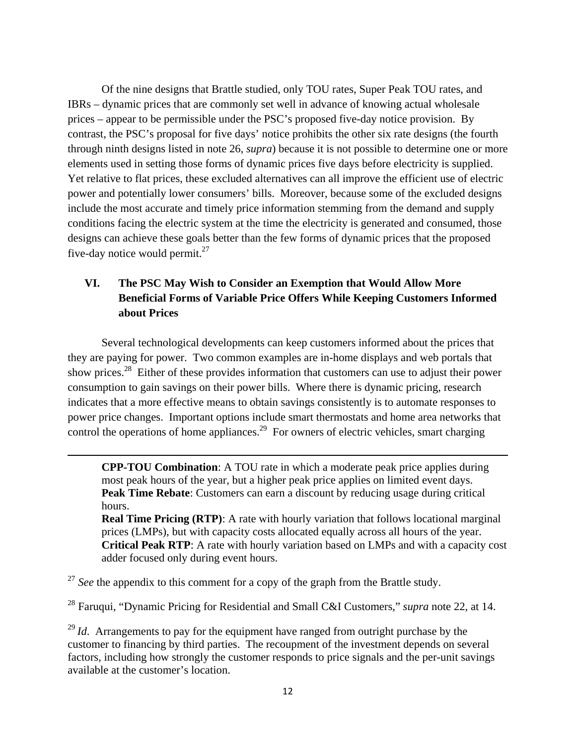Of the nine designs that Brattle studied, only TOU rates, Super Peak TOU rates, and IBRs – dynamic prices that are commonly set well in advance of knowing actual wholesale prices – appear to be permissible under the PSC's proposed five-day notice provision. By contrast, the PSC's proposal for five days' notice prohibits the other six rate designs (the fourth through ninth designs listed in note 26, *supra*) because it is not possible to determine one or more elements used in setting those forms of dynamic prices five days before electricity is supplied. Yet relative to flat prices, these excluded alternatives can all improve the efficient use of electric power and potentially lower consumers' bills. Moreover, because some of the excluded designs include the most accurate and timely price information stemming from the demand and supply conditions facing the electric system at the time the electricity is generated and consumed, those designs can achieve these goals better than the few forms of dynamic prices that the proposed five-day notice would permit. $27$ 

## **VI. The PSC May Wish to Consider an Exemption that Would Allow More Beneficial Forms of Variable Price Offers While Keeping Customers Informed about Prices**

 Several technological developments can keep customers informed about the prices that they are paying for power. Two common examples are in-home displays and web portals that show prices.28 Either of these provides information that customers can use to adjust their power consumption to gain savings on their power bills. Where there is dynamic pricing, research indicates that a more effective means to obtain savings consistently is to automate responses to power price changes. Important options include smart thermostats and home area networks that control the operations of home appliances.<sup>29</sup> For owners of electric vehicles, smart charging

**CPP-TOU Combination**: A TOU rate in which a moderate peak price applies during most peak hours of the year, but a higher peak price applies on limited event days. **Peak Time Rebate:** Customers can earn a discount by reducing usage during critical hours.

<u> 1989 - Johann Stein, marwolaethau a gweledydd a ganlad y ganlad y ganlad y ganlad y ganlad y ganlad y ganlad</u>

**Real Time Pricing (RTP):** A rate with hourly variation that follows locational marginal prices (LMPs), but with capacity costs allocated equally across all hours of the year. **Critical Peak RTP**: A rate with hourly variation based on LMPs and with a capacity cost adder focused only during event hours.

<sup>27</sup> See the appendix to this comment for a copy of the graph from the Brattle study.

28 Faruqui, "Dynamic Pricing for Residential and Small C&I Customers," *supra* note 22, at 14.

<sup>29</sup> *Id*. Arrangements to pay for the equipment have ranged from outright purchase by the customer to financing by third parties. The recoupment of the investment depends on several factors, including how strongly the customer responds to price signals and the per-unit savings available at the customer's location.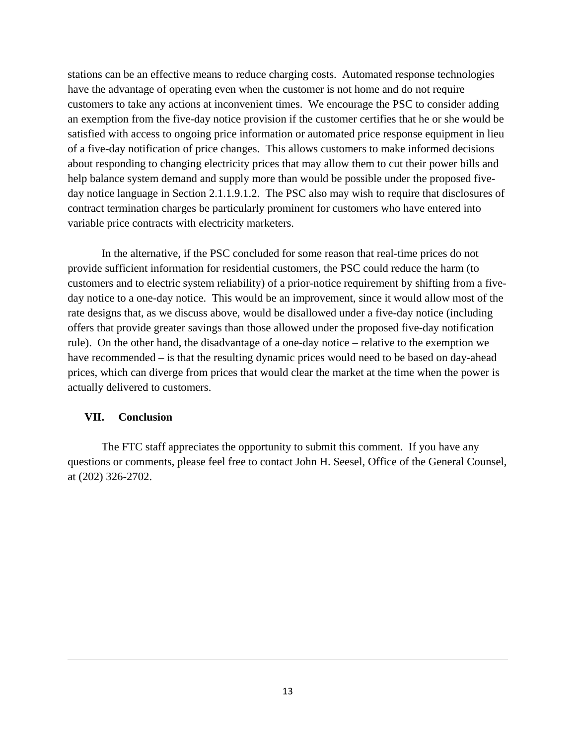stations can be an effective means to reduce charging costs. Automated response technologies have the advantage of operating even when the customer is not home and do not require customers to take any actions at inconvenient times. We encourage the PSC to consider adding an exemption from the five-day notice provision if the customer certifies that he or she would be satisfied with access to ongoing price information or automated price response equipment in lieu of a five-day notification of price changes. This allows customers to make informed decisions about responding to changing electricity prices that may allow them to cut their power bills and help balance system demand and supply more than would be possible under the proposed fiveday notice language in Section 2.1.1.9.1.2. The PSC also may wish to require that disclosures of contract termination charges be particularly prominent for customers who have entered into variable price contracts with electricity marketers.

In the alternative, if the PSC concluded for some reason that real-time prices do not provide sufficient information for residential customers, the PSC could reduce the harm (to customers and to electric system reliability) of a prior-notice requirement by shifting from a fiveday notice to a one-day notice. This would be an improvement, since it would allow most of the rate designs that, as we discuss above, would be disallowed under a five-day notice (including offers that provide greater savings than those allowed under the proposed five-day notification rule). On the other hand, the disadvantage of a one-day notice – relative to the exemption we have recommended – is that the resulting dynamic prices would need to be based on day-ahead prices, which can diverge from prices that would clear the market at the time when the power is actually delivered to customers.

#### **VII. Conclusion**

The FTC staff appreciates the opportunity to submit this comment. If you have any questions or comments, please feel free to contact John H. Seesel, Office of the General Counsel, at (202) 326-2702.

<u> 1989 - Johann Stein, marwolaethau a gweledydd a ganlad y ganlad y ganlad y ganlad y ganlad y ganlad y ganlad</u>